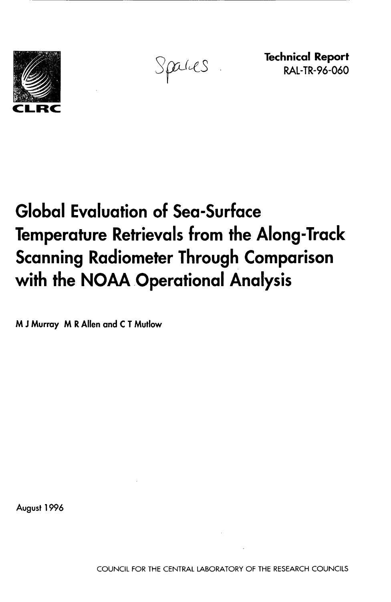

Spaces

**Technical Report**  RAL-TR-96-060

# **Global Evaluation of Sea-Surface Temperature RetrievaIs from the Along-Track Scanning Radiometer Through Comparison**  with the NOAA Operational Analysis

**M J Murray M R Allen and C T Mutlow** 

**August 1996**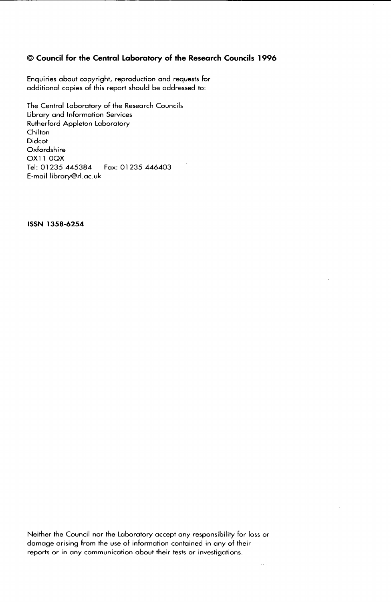# 0 **Council for the Central Laboratory of the Research Councils 1996**

Enquiries about copyright, reproduction and requests for additional copies of this report should be addressed to:

The Central Laboratory of the Research Councils Library and Information Services Rutherford Appleton Laboratory Chilton Didcot Oxfordshire OX1 1 OQX Tel: 01 235 445384 Fox: 01 **235** 446403 E-mail library@rl.ac.uk

**ISSN 1358-6254** 

Neither the Council nor the Laboratory accept any responsibility for loss or damage arising from the use of information contained in any of their reports or in any communication about their tests or investigations.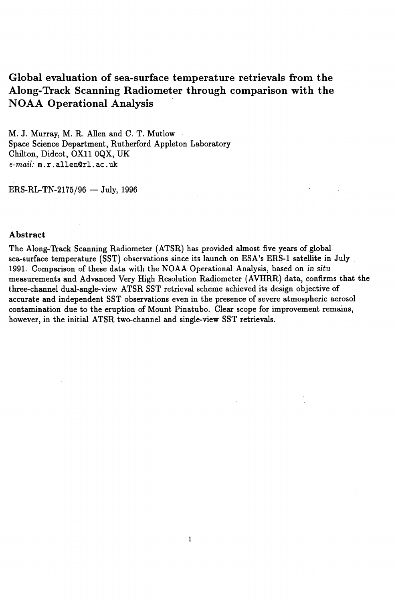# **Global evaluation of sea-surface temperature retrievals from the Along-Track Scanning Radiometer through comparison with the NOAA Operational Analysis**

M. J. Murray, M. R. Allen and C. T. Mutlow Space Science Department, Rutherford Appleton Laboratory Chilton, Didcot, OX11 OQX, UK *e-mail:* **m.** r . **allenQr1. ac** . *uk* 

 $ERS-RL-TN-2175/96$  - July, 1996

#### **Abstract**

The Along-Track Scanning Radiometer (ATSR) has provided almost five years of global sea-surface temperature (SST) observations since its launch **on** ESA's ERS-1 satellite in July . 1991. Comparison of these data with the NOAA Operational Analysis, based **on** in *situ*  measurements and Advanced Very High Resolution Radiometer (AVHRR) data, confirms that the three-channel dual-angle-view ATSR SST retrieval scheme achieved its design objective of accurate and independent SST observations even in the presence of severe atmospheric aerosol contamination due to the eruption of Mount Pinatubo. Clear scope **for** improvement remains, however, in the initial ATSR two-channel and single-view SST retrievals.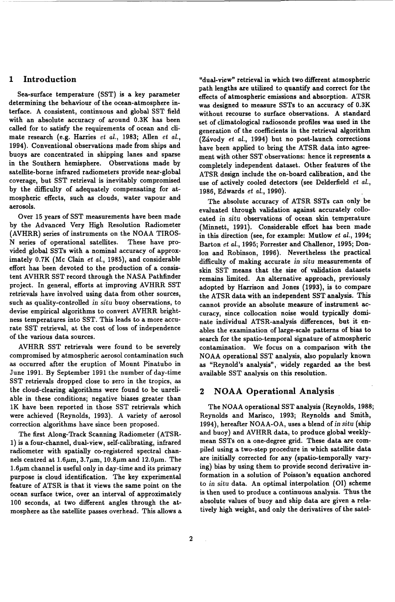# **1 Introduction**

Sea-surface temperature (SST) is a key parameter determining the behaviour of the ocean-atmosphere interface. A consistent, continuous and global SST field with an absolute accuracy of around 0.3K has been called for to satisfy the requirements of ocean and climate research (e.g. Harries *et al.*, 1983; Allen *et al.*, 1994). Conventional observations made from ships and buoys are concentrated in shipping lanes and sparse in the Southern hemisphere. Observations made by satellite-borne infrared radiometers provide near-global coverage, but SST retrieval is inevitably compromised by the difficulty of adequately compensating for atmospheric effects, such as clouds, water vapour and aerosols.

Over 15 years of SST measurements have been made by the Advanced Very High Resolution Radiometer (AVHRR) series of instruments on the NOAA TIROS-N series of operational satellites. These have provided global SSTs with a nominal accuracy of approximately 0.7K (Mc Clain *et al.,* 1985), and considerable effort has been devoted to the production of a consistent AVHRR SST record through the NASA Pathfinder project. In general, efforts at improving AVHRR SST retrievals have involved using data from other sources, such as quality-controlled in situ buoy observations, to devise empirical algorithms to convert AVHRR brightness temperatures into SST. This leads to a more accurate SST retrieval, at the cost of loss of independence of the various data sources.

AVHRR SST retrievals were found to be severely compromised by atmospheric aerosol contamination such as occurred after the eruption of Mount Pinatubo in June 1991. By September 1991 the number of day-time SST retrievals dropped close to zero in the tropics, as the cloud-clearing algorithms were found to be unreliable in these conditions; negative biases greater than 1K have been reported in those **SST** retrievals which were achieved (Reynolds, 1993). A variety of aerosol correction algorithms have since been proposed.

The first Along-Track Scanning Radiometer (ATSR-1) is a four-channel, dual-view, self-calibrating, infrared radiometer with spatially co-registered spectral channels centred at  $1.6\mu$ m,  $3.7\mu$ m,  $10.8\mu$ m and  $12.0\mu$ m. The  $1.6\mu$ m channel is useful only in day-time and its primary purpose is cloud identification. The key experimental feature of ATSR is that it views the same point on the ocean surface twice, over an interval of approximately 100 seconds, at two different angles through the atmosphere as the satellite passes overhead. This allows a 'dual-view" retrieval in which two different atmospheric path lengths are utilized to quantify and correct for the effects **of** atmospheric emissions and absorption. ATSR was designed to measure SSTs to an accuracy of 0.3K without recourse to surface observations. **A** standard set of climatological radiosonde profiles was used in the generation of the coefficients in the retrieval algorithm (Zivody *et al.,* 1994) but no post-launch corrections have been applied to bring the ATSR data into agreement with other SST observations: hence it represents a completely independent dataset. Other features of the ATSR design include the on-board calibration, and the use of actively cooled detectors (see Delderfield *et al.,*  1986, Edwards *et al.,* 1990).

The absolute accuracy of ATSR SSTs can only be evaluated through validation against accurately collocated in *situ* observations of ocean **skin** temperature (Minnett, 1991). Considerable effort has been made in this direction (see, for example: Mutlow *et al.,* 1994; Barton *et al.,* 1995; Forrester and Challenor, 1995; Donlon and Robinson, 1996). Nevertheless the practical difficulty of making accurate in *situ* measurements of **skin SST** means that the size of validation datasets remains limited. An alternative approach, previously adopted by Harrison and Jones (1993), is to compare the ATSR data with an independent SST analysis. This cannot provide an absolute measure of instrument accuracy, since collocation noise would typically dominate individual ATSR-analysis differences, but it enables the examination of large-scale patterns **of** bias to search for the spatio-temporal signature of atmospheric contamination. We focus on a comparison with the NOAA operational SST analysis, **also** popularly known as "Reynold's analysis", widely regarded **as** the best available SST analysis on this resolution.

#### **2 NOAA Operational Analysis**

Reynolds and Marisco, 1993; Reynolds and Smith, 1994), hereafter NOAA-OA, uses a blend of in *situ* (ship and buoy) and AVHRR data, to produce global weeklymean SSTs on a one-degree grid. These data are compiled using a two-step procedure in which satellite data are initially corrected for any (spatio-temporally varying) bias by using them to provide second derivative information in a solution of Poisson's equation anchored to in *situ* data. An optimal interpolation (01) scheme is then used to produce a continuous analysis. Thus the absolute values of buoy and ship data are given a relatively high weight, and only the derivatives of the satel-The NOAA operational SST analysis (Reynolds, 1988;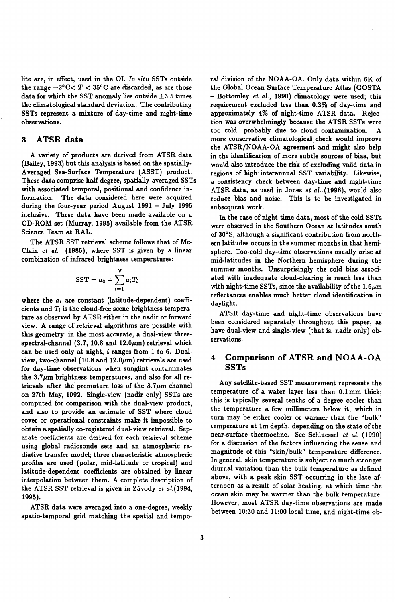lite are, in effect, used in the 01. *In situ* SSTs outside the range  $-2^{\circ}$ C $<$  T  $<$  35°C are discarded, as are those data for which the SST anomaly lies outside  $\pm 3.5$  times the climatological standard deviation. The contributing SSTs represent a mixture of day-time and night-time observations.

### **3 ATSRdata**

A variety of products are derived from ATSR data (Bailey, 1993) but this analysis is based on the spatially-Averaged Sea-Surface Temperature (ASST) product. These data comprise half-degree, spatially-averaged SSTs with associated temporal, positional and confidence information. The data considered here were acquired during the four-year period August 1991 - July 1995 inclusive. These data have been made available on a CD-ROM set (Murray, 1995) available from the ATSR Science Team at RAL.

The ATSR SST retrieval scheme follows that of Mc-Clain *et* al. (1985), where SST is given by a linear combination of infrared brightness temperatures:

$$
\text{SST} = a_0 + \sum_{i=1}^N a_i T_i
$$

where the  $a_i$  are constant (latitude-dependent) coefficients and *Ti* is the cloud-free scene brightness temperature as observed by ATSR either in the nadir **or** forward view. A range of retrieval algorithms are possible with this geometry; in the most accurate, a dual-view threespectral-channel (3.7, 10.8 and  $12.0 \mu m$ ) retrieval which can be used only at night, *i* ranges from 1 to 6. Dualview, two-channel (10.8 and  $12.0\mu$ m) retrievals are used for day-time observations when sunglint contaminates the  $3.7\mu$ m brightness temperatures, and also for all retrievals after the premature loss of the  $3.7\mu$ m channel on 27th May, 1992. Single-view (nadir only) SSTs are computed for comparison with the dual-view product, and also to provide an estimate of SST where cloud cover **or** operational constraints make it impossible to obtain a spatially co-registered dual-view retrieval. Separate coefficients are derived for each retrieval scheme using global radiosonde sets and an atmospheric radiative transfer model; three characteristic atmospheric profiles are used (polar, mid-latitude **or** tropical) and latitude-dependent coefficients are obtained by linear interpolation between them. A complete description of the ATSR SST retrieval is given in Závody et al.(1994, 1995).

ATSR data were averaged into a one-degree, weekly spatio-temporal grid matching the spatial and temporal division of the NOAA-OA. Only data within **6K** of the Global Ocean Surface Temperature Atlas (GOSTA - Bottomley *et* al., 1990) climatology were used; this requirement excluded less than 0.3% of day-time and approximately **4%** of night-time ATSR data. Rejection was overwhelmingly because the ATSR SSTs were too cold, probably due to cloud contamination. A more conservative climatological check would improve the ATSR/NOAA-OA agreement and might also help in the identification of more subtle sources of bias, but would **also** introduce the risk of excluding valid data in regions of high interannual SST variability. Likewise, a consistency check between day-time and night-time ATSR data, as used in Jones *et* al. (1996), would also reduce bias and noise. This is to be investigated in subsequent work.

**In** the case of night-time data, most of the cold SSTs were observed in the Southern Ocean at latitudes south of 30°S, although a significant contribution from northern latitudes occurs in the summer months in that hemisphere. Too-cold day-time observations usually arise at mid-latitudes in the Northern hemisphere during the summer months. Unsurprisingly the cold bias associated with inadequate cloud-clearing is much less than with night-time SSTs, since the availability of the  $1.6\mu m$ reflectances enables much better cloud identification in daylight.

ATSR day-time and night-time observations have been considered separately throughout this paper, as have dual-view and single-view (that is, nadir only) observations.

# **4 Comparison of ATSR and NOAA-OA SSTs**

Any satellite-based SST measurement represents the temperature of a water layer less than O.lmm thick; this **is** typically several tenths of a degree cooler than the temperature a few millimeters below it, which in turn may be either cooler **or** warmer than the "bulk" temperature at lm depth, depending on the state of the near-surface thermocline. See Schluessel *et* al. (1990) for a discussion of the factors influencing the sense and magnitude of this "skin/bulk" temperature difference. In general, skin temperature is subject to much stronger diurnal variation than the bulk temperature as defined above, with a peak skin SST occurring in the late *af*ternoon as a result of solar heating, at which time the ocean skin may be warmer than the bulk temperature. However, most ATSR day-time observations are made between 10:30 and 11:OO local time, and night-time ob-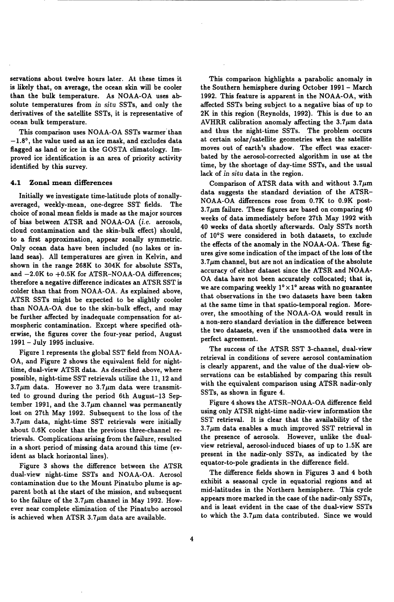servations about twelve hours later. At these times it is likely that, **on** average, the ocean **skin** will be cooler than the bulk temperature. As NOAA-OA uses absolute temperatures from *in situ* SSTs, and only the derivatives of the satellite SSTs, it is representative of ocean bulk temperature.

This comparison uses NOAA-OA SSTs warmer'than  $-1.8$ °, the value used as an ice mask, and excludes data flagged as land or ice in the GOSTA climatology. Improved ice identification is an area of priority activity identified by this survey.

#### **4.1 Zonal mean differences**

Initially we investigate time-latitude plots of zonallyaveraged, weekly-mean, one-degree SST fields. The choice of zonal mean fields is made as the major sources of bias between ATSR and NOAA-OA *(i.e.* aerosols, cloud contamination and the skin-bulk effect) should, to a first approximation, appear zonally symmetric. Only ocean data have been included (no lakes or inland seas). All temperatures are given in Kelvin, and shown in the range 268K to 304K for absolute SSTs, and  $-2.0K$  to  $+0.5K$  for ATSR-NOAA-OA differences; therefore a negative difference indicates an ATSR SST is colder than that from NOAA-OA. As explained above, ATSR SSTs might be expected to be slightly cooler than NOAA-OA due to the skin-bulk effect, and may be further affected by inadequate compensation for atmospheric contamination. Except where specified otherwise, the figures cover the four-year period, August <sup>1991</sup>- July 1995 inclusive.

Figure 1 represents the global SST field from NOAA-OA, and Figure 2 shows the equivalent field for nighttime, dual-view ATSR data. As described above, where possible, night-time SST retrievals utilize the 11, 12 and  $3.7\mu$ m data. However no  $3.7\mu$ m data were transmitted to ground during the period 6th August-13 Sep tember 1991, and the  $3.7\mu$ m channel was permanently lost on 27th May 1992. Subsequent to the loss of the  $3.7\mu$ m data, night-time SST retrievals were initially about 0.6K cooler than the previous three-channel retrievals. Complications arising from the failure, resulted in a short period of missing data around this time (evident as black horizontal lines).

Figure **3** shows the difference between the ATSR dual-view night-time SSTs and NOAA-OA. Aerosol contamination due to the Mount Pinatubo plume is ap parent both at the start of the mission, and subsequent to the failure of the  $3.7\mu$ m channel in May 1992. However near complete elimination of the Pinatubo aerosol is achieved when ATSR  $3.7\mu$ m data are available.

This comparison highlights a parabolic anomaly in the Southern hemisphere during October 1991 - March 1992. This feature is apparent in the NOAA-OA, with affected SSTs being subject to a negative bias of up to 2K in this region (Reynolds, 1992). This is due to an AVHRR calibration anomaly affecting the  $3.7\mu$ m data and thus the night-time SSTs. The problem occurs at certain solar/satellite geometries when the satellite moves out of earth's shadow. The effect was exacerbated by the aerosol-corrected algorithm in use at the time, by the shortage of day-time SSTs, and the usual lack of *in situ* data in the region.

Comparison of ATSR data with and without  $3.7\mu m$ data suggests the standard deviation of the ATSR-NOAA-OA differences rose from 0.7K to 0.9K post- $3.7\mu$ m failure. These figures are based on comparing  $40$ weeks of data immediately before 27th May 1992 with 40 weeks of data shortly afterwards. Only **SSTs** north of 10's were considered in both datasets, to exclude the effects of the anomaly in the NOAA-OA. These figures give some indication of the impact of the loss of the  $3.7\mu$ m channel, but are not an indication of the absolute accuracy of either dataset since the ATSR and NOAA-OA data have not been accurately collocated; that is, we are comparing weekly  $1^{\circ} \times 1^{\circ}$  areas with no guarantee that observations in the two datasets have been taken at the same time in that spatio-temporal region. Moreover, the smoothing of the NOAA-OA would result in a non-zero standard deviation in the difference between the two datasets, even *if* the unsmoothed data were in perfect agreement.

The success of the ATSR SST 3-channel, dual-view retrieval in conditions of severe aerosol contamination is clearly apparent, and the value of the dual-view observations can be established by comparing this result with the equivalent comparison using ATSR nadir-only SSTs, as shown in figure 4.

Figure 4 shows the ATSR-NOAA-OA difference field using only ATSR night-time nadir-view information the SST retrieval. It is clear that the availability of the  $3.7\mu$ m data enables a much improved SST retrieval in the presence of aerosols. However, unlike the dualview retrieval, aerosol-induced biases of up to 1.5K are present in the nadir-only SSTs, as indicated by the equator-to-pole gradients in the difference field.

The difference fields shown in Figures **3** and 4 both exhibit a seasonal cycle in equatorial regions and at mid-latitudes in the Northern hemisphere. This cycle appears more marked in the case of the nadir-only SSTs, and is least evident in the case of the dual-view SSTs to which the  $3.7\mu m$  data contributed. Since we would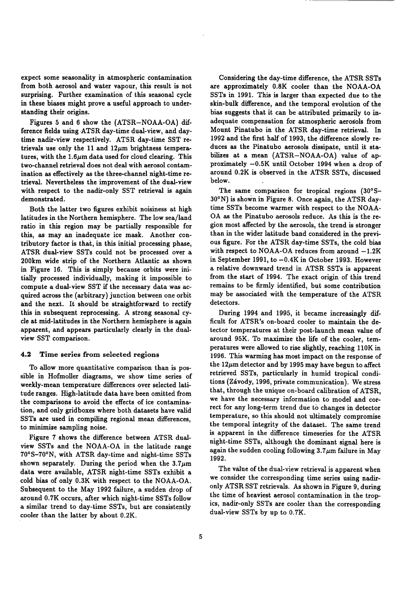expect some seasonality in atmospheric contamination from both aerosol and water vapour, this result is not surprising. Further examination of this seasonal cycle in these biases might prove a useful approach to understanding their origins.

Figures 5 and 6 show the (ATSR-NOAA-OA) difference fields using ATSR day-time dual-view, and daytime nadir-view respectively. ATSR day-time SST retrievals use only the 11 and  $12\mu$ m brightness temperatures, with the  $1.6\mu$ m data used for cloud clearing. This two-channel retrieval does not deal with aerosol contamination as effectively as the three-channel night-time retrieval. Nevertheless the improvement of the dual-view with respect to the nadir-only SST retrieval is again demonstrated.

Both the latter two figures exhibit noisiness at high latitudes in the Northern hemisphere. The low sea/land ratio in this region may be partially responsible for this, as may an inadequate ice mask. Another contributory factor is that, in this initial processing phase, ATSR dual-view SSTs could not be processed over a 200km wide strip of the Northern Atlantic as shown in Figure **16.** This is simply because orbits were initially processed individually, making it impossible to compute a dual-view SST if the necessary data was acquired across the (arbitrary) junction between one orbit and the next. It should be straightforward to rectify this in subsequent reprocessing. A strong seasonal cycle at mid-latitudes in the Northern hemisphere is again apparent, and appears particularly clearly in the dualview SST comparison.

#### **4.2 Time series from selected regions**

To allow more quantitative comparison than is possible in Hofmoller diagrams, we show time series of weekly-mean temperature differences over selected latitude ranges. High-latitude data have been omitted from the comparisons to avoid the effects of ice contamination, and only gridboxes where both datasets have valid SSTs are used in compiling regional mean differences, to minimize sampling noise.

Figure 7 shows the difference between ATSR dualview **SSTs** and the NOAA-OA in the latitude range 7O0S-7O0N, with ATSR day-time and night-time SSTs shown separately. During the period when the  $3.7\mu m$ data were available, ATSR night-time SSTs exhibit a cold bias of only 0.3K with respect to the NOAA-OA. Subsequent to the May 1992 failure, a sudden drop of around 0.7K occurs, after which night-time SSTs follow a similar trend to day-time SSTs, but are consistently cooler than the latter by about 0.2K.

Considering the day-time difference, the ATSR SSTs are approximately 0.8K cooler than the NOAA-OA **SSTs** in 1991. This is larger than expected due to the skin-bulk difference, and the temporal evolution of the bias suggests that it can be attributed primarily to inadequate compensation for atmospheric aerosols from Mount Pinatubo in the ATSR day-time retrieval. In 1992 and the first half of 1993, the difference slowly reduces as the Pinatubo aerosols dissipate, until it stabilizes at a mean (ATSR-NOAA-OA) value of approximately -0.5K until October 1994 when **a drop** of around 0.2K is observed in the ATSR SSTs, discussed below.

The same comparison for tropical regions (30°S-30°N) is shown in Figure *8.* Once again, the ATSR daytime SSTs become warmer with respect to the NOAA-OA as the Pinatubo aerosols reduce. As this is the region most affected by the aerosols, the trend is stronger than in the wider latitude band considered in the previ**ous** figure. For the ATSR day-time SSTs, the cold bias with respect to NOAA-OA reduces from around  $-1.2K$ in September 1991, to  $-0.4K$  in October 1993. However a relative downward trend in ATSR SSTs is apparent from the start of 1994. The exact origin of this trend remains to be firmly identified, but some contribution may be associated with the temperature of the ATSR detectors.

During 1994 and 1995, it became increasingly difficult for ATSR's on-board cooler to maintain the detector temperatures at their post-launch mean value of around 95K. To maximize the life of the cooler, temperatures were allowed to rise slightly, reaching 110K in 1996. This warming has most impact on the response of the  $12\mu$ m detector and by 1995 may have begun to affect retrieved SSTs, particularly in humid tropical conditions (Závody, 1996, private communication). We stress that, through the unique on-board calibration of ATSR, we have the necessary information to model and correct for any long-term trend due to changes in detector temperature, **so** this should not ultimately compromise the temporal integrity of the dataset. The same trend is apparent in the difference timeseries for the ATSR night-time SSTs, although the dominant signal here is again the sudden cooling following  $3.7 \mu m$  failure in May 1992.

The value of the dual-view retrieval is apparent when we consider the corresponding time series using nadironly ATSR SST retrievals. As shown in Figure 9, during the time of heaviest aerosol contamination in the tropics, nadir-only SSTs are cooler than the corresponding dual-view **SSTs** by up to 0.7K.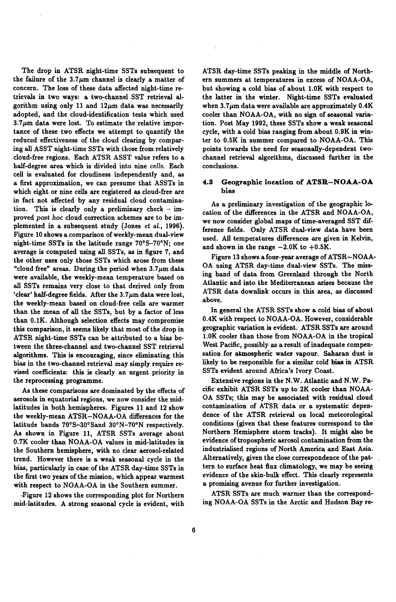The drop in ATSR night-time SSTs subsequent to the failure of the  $3.7\mu$ m channel is clearly a matter of concern. The loss of these data affected night-time retrievals in two ways: a two-channel SST retrieval algorithm using only 11 and  $12\mu$ m data was necessarily adopted, and the cloud-identification tests which used  $3.7\mu$ m data were lost. To estimate the relative importance of these two effects we attempt to quantify the reduced effectiveness of the cloud clearing by comparing **all** ASST night-time SSTs with those from relatively cloud-free regions. Each ATSR ASST value refers to a half-degree area which is divided into nine *cells.* Each cell is evaluated for cloudiness independently and, as a first approximation, we can presume that ASSTs in which eight or nine cells are registered as cloud-free are in fact not affected by any residual cloud contamination. This is clearly only a preliminary check - improved *post hoc* cloud correction schemes are to be implemented in a subsequent study (Jones *et al.,* **1996).**  Figure **10** shows a comparison of weekly-mean dual-view night-time SSTs in the latitude range 70°S-700N; one average is computed using **all** SSTs, as in figure 7, and the other uses only those SSTs which arose from these "cloud free" areas. During the period when  $3.7 \mu m$  data were available, the weekly-mean temperature based **on all** SSTs remains very close to that derived only from 'clear' half-degree fields. After the  $3.7\mu$ m data were lost, the weekly-mean based **on** cloud-free cells are warmer than the mean of **all** the SSTs, but by a factor of less than **0.1K.** Although selection effects may compromise this comparison, it seems likely that most of the drop in ATSR night-time SSTs can be attributed to a bias between the three-channel and two-channel SST retrieval algorithms. This is encouraging, since eliminating this bias in the two-channel retrieval may simply require revised coefficients: this is clearly an urgent priority in the reprocessing programme.

As these comparisons are dominated by the effects of aerosols in equatorial regions, we now consider the midlatitudes in both hemispheres. Figures **11** and **12** show the weekly-mean ATSR-NOAA-OA differences for the latitude bands 70°S-30°Sand 30°N-70°N respectively. As shown in Figure 11, ATSR SSTs average about **0.7K** cooler than NOAA-OA values in mid-latitudes in the Southern hemisphere, with **no** clear aerosol-related trend. However there is a weak seasonal cycle in the bias, particularly in case of the ATSR day-time SSTs in the first two years of the mission, which appear warmest with respect to NOAA-OA in the Southern summer.

.Figure **12** shows the corresponding plot for Northern mid-latitudes. A strong seasonal cycle is evident, with ATSR day-time SSTs peaking in the middle of Northern summers at temperatures in excess of NOAA-OA, but showing a cold bias of about **1.OK** with respect to the latter in the winter. Night-time SSTs evaluated when  $3.7\mu$ m data were available are approximately  $0.4K$ cooler than NOAA-OA, with **no** sign of seasonal variation. Post May **1992,** these SSTs show a weak seasonal cycle, with a cold bias ranging from about **0.9K** in winter to **0.5K** in summer compared to NOAA-OA. This points towards the need for seasonally-dependent twochannel retrieval algorithms, discussed further in the conclusions.

#### **4.3 Geographic location of ATSR-NOAA-OA bias**

As a preliminary investigation of the geographic 10 cation of the differences in the ATSR and NOAA-OA, we now consider global maps of time-averaged SST **dif**ference fields. Only ATSR dual-view data have been used. *AU* temperatures differences are given in Kelvin, and shown in the range  $-2.0K$  to  $+0.5K$ .

OA using ATSR day-time dual-view SSTs. The **miss**ing band of data from Greenland through the North Atlantic and into the Mediterranean arises because the ATSR data downlink occurs in this area, as discussed above. Figure 13 shows **a** fonr-year average of ATSR-NOAA-

In general the ATSR SSTs show a cold bias of about **0.4K** with respect to NOAA-OA. However, considerable geographic variation is evident. ATSR SSTs are around **1.OK** cooler than those from NOAA-OA in the tropical West Pacific, possibly as a result of inadequate compensation for abmospheric water vapour. Saharan dust is likely to **be** responsible for a similar cold bias in ATSR SSTs evident around Africa's Ivory Coast.

Extensive regions in the N.W. Atlantic and N.W. Pacific exhibit ATSR SSTs up to **2K** cooler than NOAA-OA SSTs; this may be associated with residual cloud contamination of ATSR data or a systematic dependence of the ATSR retrieval **on** local meteorological conditions (given that these features correspond to the Northern Hemisphere storm tracks). It might **also** be evidence of tropospheric aerosol contamination **from** the industrialised regions of North America and East Asia. Alternatively, given the close correspondence of the pattern to surface heat **flux** climatology, we may be seeing evidence of the skin-bulk effect. This clearly represents a promising avenue for further investigation.

ATSR SSTs are much warmer than the corresponding NOAA-OA SSTs in the Arctic and Hudson Bay re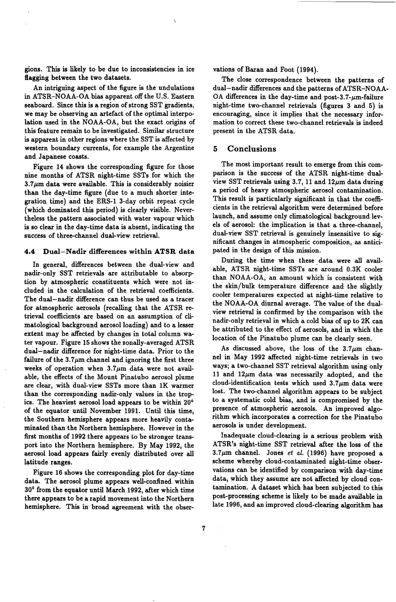gions. This is likely to be due to inconsistencies in ice flagging between the two datasets.

 $\ddot{\phantom{0}}$ 

An intriguing aspect of the figure is the undulations in ATSR-NOAA-OA bias apparent **off** the U.S. Eastern seaboard. Since this is a region of strong SST gradients, we may be observing an artefact of the optimal interpolation used in the NOAA-OA, but the exact origins of this feature remain to be investigated. Similar structure is apparent in other regions where the SST is affected by western boundary currents, for example the Argentine and Japanese coasts.

Figure 14 shows the corresponding figure for those nine months of ATSR night-time SSTs for which the  $3.7\,\mu\text{m}$  data were available. This is considerably noisier than the day-time figure (due to a much shorter integration time) and the ERS-1 3-day orbit repeat cycle (which dominated this period) is clearly visible. Nevertheless the pattern associated with water vapour which is **so** clear in the day-time data is absent, indicating the success of three-channel dual-view retrieval.

#### **4.4 Dual-Nadir differences within ATSR data**

In general, differences between the dual-view and nadir-only SST retrievals are attributable to absorption by atmospheric constituents which were not included in the calculation of the retrieval coefficients. The dual-nadir difference can thus be used as a tracer for atmospheric aerosols (recalling that the ATSR retrieval coefficients are based on an assumption of climatological background aerosol loading) and to a lesser extent may be affected by changes in total column water vapour. Figure 15 shows the zonally-averaged ATSR dual-nadir difference for night-time data. Prior to the failure of the  $3.7\mu$ m channel and ignoring the first three weeks of operation when  $3.7\mu$ m data were not available, the effects of the Mount Pinatubo aerosol plume are clear, with dual-view SSTs more than 1K warmer than the corresponding nadir-only values in the tropics. The heaviest aerosol load appears to be within 20' of the equator until November 1991. Until this time, the Southern hemisphere appears more heavily contaminated than the Northern hemisphere. However in the fist months of 1992 there appears to be stronger transport into the Northern hemisphere. By May 1992, the aerosol load appears fairly evenly distributed over all latitude ranges.

Figure 16 shows the corresponding plot for day-time data. The aerosol plume appears well-confined. within 30' from the equator until March 1992, after which time there appears to be a rapid movement into the Northern hemisphere. This in broad agreement with the observations of Baran and Foot (1994).

The close correspondence between the patterns of dual-nadir differences and the patterns of ATSR-NOAA-OA differences in the day-time and post-3.7- $\mu$ m-failure night-time two-channel retrievals (figures 3 and **5)** is encouraging, since it implies that the necessary information to correct these two-channel retrievals is indeed present in the ATSR data.

#### **5 Conclusions**

The most important result to emerge from this comparison is the success of the ATSR night-time dualview SST retrievals using 3.7, 11 and  $12 \mu m$  data during a period of heavy atmospheric aerosol contamination. This result is particularly significant in that the coefficients in the retrieval algorithm were determined before launch, and assume only climatological background levels of aerosol: the implication is that a three-channel, dual-view SST retrieval is genuinely insensitive to significant changes in atmospheric composition, as anticipated in the design of this mission.

During the time when these data were all available, ATSR night-time SSTs are around 0.3K cooler than NOAA-OA, an amount which is consistent with the skin/bulk temperature difference and the slightly cooler temperatures expected at night-time relative to the NOAA-OA diurnal average. The value of the dualview retrieval is confirmed by the comparison with the nadir-only retrieval in which a cold bias of up to 2K can be attributed to the effect of aerosols, and in which the location of the Pinatubo plume can be clearly seen.

As discussed above, the loss of the  $3.7\mu m$  channel in May 1992 affected night-time retrievals in two ways; a two-channel SST retrieval algorithm using only 11 and  $12\mu$ m data was necessarily adopted, and the cloud-identification tests which used  $3.7\mu$ m data were lost. The two-channel algorithm appears to be subject to a systematic cold bias, and is compromised by the presence of atmospheric aerosols. An improved algorithm which incorporates a correction for the Pinatubo aerosols is under development.

Inadequate cloud-clearing is a serious problem with ATSR's night-time SST retrieval after the loss of the  $3.7\mu$ m channel. Jones *et al.* (1996) have proposed a scheme whereby cloud-contaminated night-time observations can be identified by comparison with day-time data, which they assume are not affected by cloud contamination. A dataset which has been subjected to this post-processing scheme is likely to be made available in late 1996, and an improved cloud-clearing algorithm has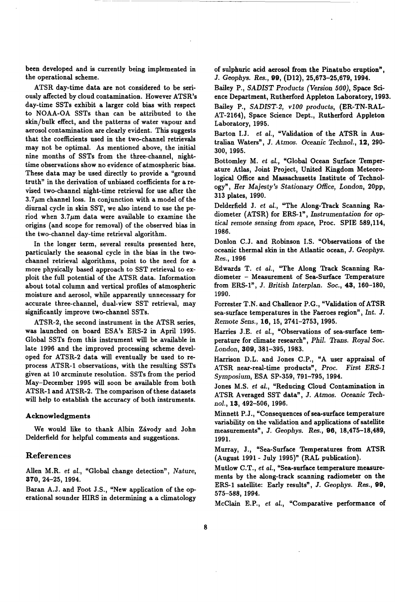been developed and is currently being implemented in the operational scheme.

ATSR day-time data are not considered to be seriously affected by cloud contamination. However ATSR's day-time SSTs exhibit a larger cold **bias** with respect to NOAA-OA SSTs than can be attributed to the skin/bulk effect, and the patterns of water vapour and aerosol contamination are clearly evident. This suggests that the coefficients used in the two-channel retrievals may not be optimal. As mentioned above, the initial nine months of SSTs from the three-channel, nighttime observations show no evidence of atmospheric bias. These data may be used directly to provide a "ground truth" in the derivation of unbiased coefficients for a revised two-channel night-time retrieval for use after the  $3.7\mu$ m channel loss. In conjunction with a model of the diurnal cycle in skin SST, we **also** intend to use the period when  $3.7\mu$ m data were available to examine the origins (and scope for removal) of the observed bias in the two-channel day-time retrieval algorithm.

In the longer term, several results presented here, particularly the seasonal cycle in the bias in the twochannel retrieval algorithms, point to the need for a more physically based approach to SST retrieval to exploit the full potential of the ATSR data. Information about total column and vertical profiles of atmospheric moisture and aerosol, while apparently unnecessary for accurate three-channel, dual-view SST retrieval, may significantly improve two-channel SSTs.

ATSR-2, the second instrument in the ATSR series, was launched on board ESA's ERS-2 in April 1995. Global SSTs from this instrument will be available in late 1996 and the improved processing scheme developed for ATSR-2 data will eventually be used to reprocess ATSR-1 observations, with the resulting SSTs given at 10 arcminute resolution. SSTs from the period May-December 1995 will soon be available from both ATSR-1 and ATSR-2. The comparison of these datasets will help to establish the accuracy of both instruments.

#### **Acknowledgments**

We would like to thank Albin Závody and John Delderfield for helpful comments and suggestions.

## **References**

Allen M.R. *et al.,* "Global change detection", Nature, **370,** 24-25, 1994.

Baran A.J. and Foot J.S., "New application of the operational sounder HIRS in determining a a climatology **of** sulphuric acid aerosol from the Pinatubo eruption", *J.* Geophys. Res., **99,** (D12), 25,673-25,679, 1994.

Bailey P., SADIST Products (Version 500), Space Science Department, Rutherford Appleton Laboratory, 1993. Bailey P., SADIST-2, *vl00* products, (ER-TN-RAL-

AT-2164), Space Science Dept., Rutherford Appleton Laboratory, 1995.

Barton I.J. *et al.,* "Validation **of** the ATSR in Australian Waters", *J.* Atmos. Oceanic Technol., **12,** 290- 300, 1995.

Bottomley M. *et al.,* "Global Ocean Surface Temperature Atlas, Joint Project, United Kingdom Meteorological Office and Massachusetts Institute **of** Technology" , Her Majesty's Stationary Office, London, 20pp, 313 plates, 1990.

Delderfield J. *et al.,* "The Along-Track Scanning **Ra**diometer (ATSR) for ERS-l", Instrumentation for *op*  tical remote sensing from space, Proc. SPIE 589,114, 1986.

Donlon C.J. and Robinson I.S. "Observations **of** the oceanic thermal **skin** in the Atlantic ocean, *J.* Geophys. Res., 1996

Edwards T. *et al.,* "The Along Track Scanning **Ra**diometer - Measurement **of** Sea-Surface Temperature from ERS-l", *J.* British Interplan. Soc., **43,** 160-180, 1990.

Forrester T.N. and Challenor P.G., "Validation **of** ATSR sea-surface temperatures in the Faeroes region", Int. *J.*  Remote Sens., **16,** 15, 2741-2753,1995.

Harries J.E. *et al.*, "Observations of sea-surface temperature for climate research", Phil. Trans. Royal Soc. London, **309,** 381-395, 1983.

Harrison D.L. and Jones C.P., "A user appraisal of ATSR near-real-time products", Proc. First ERS-1 Symposium, ESA SP-359, 791-795, 1994.

Jones M.S. *et al.,* "Reducing Cloud Contamination in ATSR Averaged SST data", *J.* Atmos. Oceanic Tech*nol.,* **13,** 492-506, 1996.

Minnett P. J., "Consequences **of** sea-surface temperature variability on the validation and applications of satellite measurements" , *J.* Geophys. Res., **96,** 18,475-38,489, 1991.

Murray, **J.,** "Sea-Surface Temperatures from ATSR (August 1991 - July 1995)" (RAL publication).

Mutlow C.T., *et al.,* "Sea-surface temperature measurements by the along-track scanning radiometer on the ERS-1 satellite: Early results", *J.* Geophys. Res., **99,**  575-588, 1994.

McClain E.P., *et al.,* "Comparative performance **of**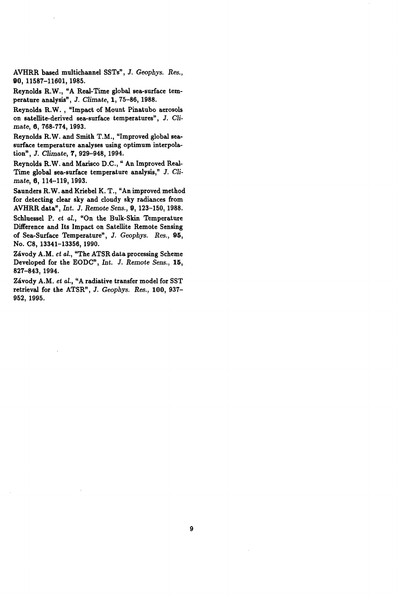**AVHRR based multichannel SSTs", J.** *Geophys. Res.,*  **90, 11587-11601,1985.** 

**Reynolds R. W., "A Real-Time global sea-surface temperature analysis", J.** *Climate,* **1, 75-86, 1988.** 

**Reynolds R.W.** , **"Impact of Mount Pinatubo aerosols**  on satellite-derived sea-surface temperatures", J. Cli*mate, 6,* **768-774, 1993.** 

**Reynolds R.W. and Smith T.M., "Improved global seasurface temperature analyses using optimum interpolation", J.** *Climate,* **7, 929-948, 1994.** 

**Reynolds R.W. and Marisco D.C.,** " **An Improved Real-Time global sea-surface temperature analysis," J.** *Climate, 6,* **114-119,1993.** 

**Saunders R.W. and Kriebel K. T., "An improved method for detecting clear sky and cloudy sky radiances from AVHRR data",** *ht.* **J.** *Remote Sens.,* **9, 123-150, 1988.** 

**Schluessel P.** *et al.,* **"On the Bulk-Skin Temperature Difference and Its Impact on Satellite Remote Sensing of Sea-Surface Temperature",** *J. Geophys. Res.,* **95, NO. C8, 13341-13356,1990.** 

**Zdvody A.M.** *et al.,* **"The ATSR data processing Scheme Developed for the EODC",** *ht. J. Remote Sens.,* **15, 827-843, 1994.** 

**Zdvody A.M.** *et al.,* **"A radiative transfer model for SST retrieval for the ATSR", J.** *Geophys. Res.,* **100, 937- 952, 1995.**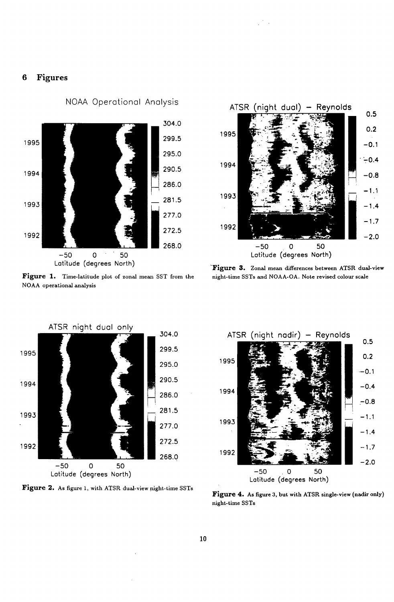# **6 Figures**



**Figure 1. Time-latitude plot of zonal mean SST from the NOAA operational analysis** 



**night-time SSTs and NOAA-OA. Note revised colour scale Zonal mean differences between ATSR dual-view** 



**Figure 2. As figure 1, with ATSR dual-view night-time SSTs** 



**Figure 4. As figure 3, but with ATSR single-view (nadir only) night-time SSTs**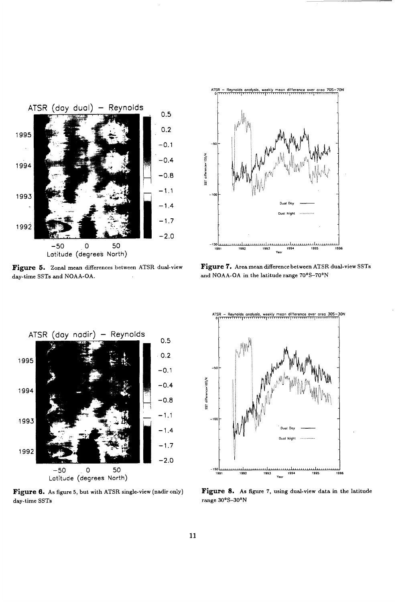

Figure 5. Zonal mean differences between ATSR dual-view **day-time SSTs and NOAA-OA.** 



**Zonal mean differences between ATSR dual-view Figure** *7.* **Area mean difference between ATSR dual-view SSTs**  and NOAA-OA in the latitude range  $70^{\circ}$ S-70°N



**Figure 6. As figure 5, but with ATSR single-view (nadir only) day-time SSTs** *range* 30°S-30°N



**Figure 8. As figure 7, using dual-view data in the latitude**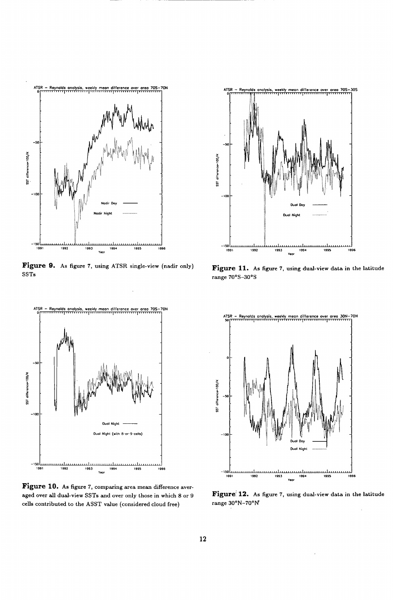

**Figure 9. As figure 7, using ATSR single-view (nadir only) SSTs** 



**Figure 10. As figure 7, comparing area mean difference aver**aged over all dual-view SSTs and over only those in which 8 or 9 **cells contributed to the ASST value (considered cloud free)** 



**Figure 11. As figure 7, using dual-view data in the latitude**  range  $70^{\circ}$ S-30°S



**Figure' 12. As figure 7, using dual-view data in the latitude**  range 30°N-70°N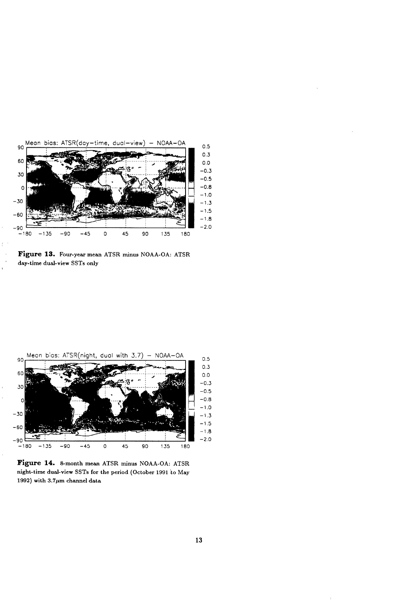

**Figure 13. Four-year mean ATSR minus NOAA-OA: ATSR day-time dual-view SSTs only** 



**Figure 14. &month mean ATSR minus NOAA-OA: ATSR night-time dual-view SSTs for the period (October 1991 10 May**  1992) with  $3.7\mu$ m channel data